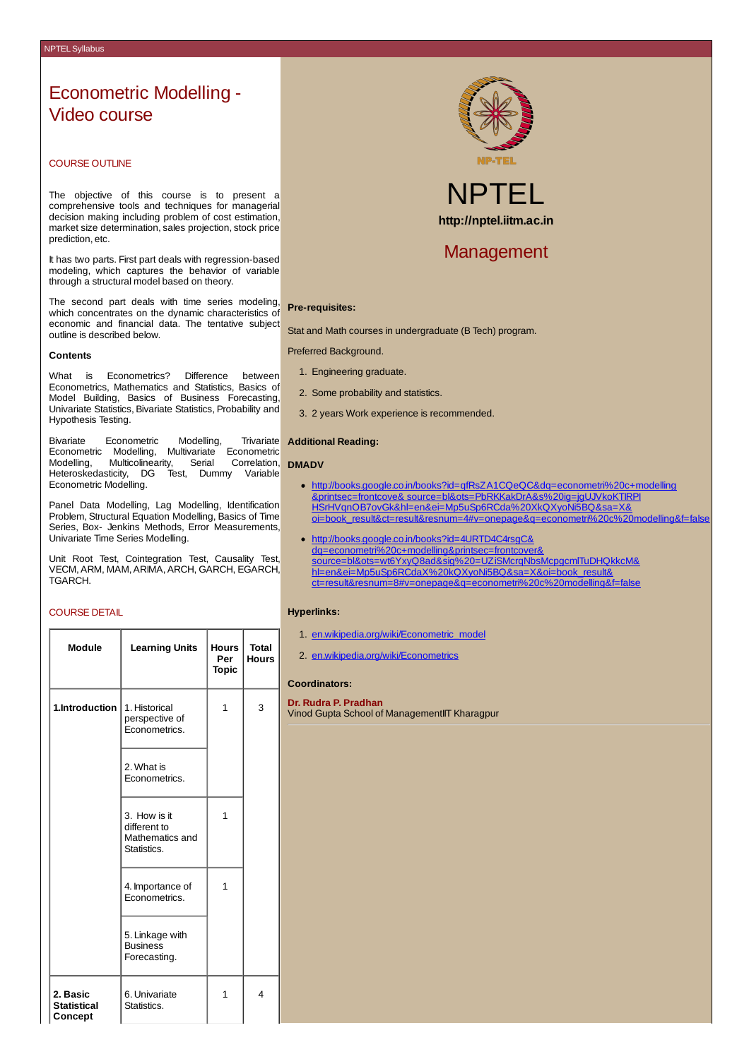# Econometric Modelling - Video course

# COURSE OUTLINE

The objective of this course is to present a comprehensive tools and techniques for managerial decision making including problem of cost estimation, market size determination, sales projection, stock price prediction, etc.

It has two parts. First part deals with regression-based modeling, which captures the behavior of variable through a structural model based on theory.

The second part deals with time series modeling, which concentrates on the dynamic characteristics of economic and financial data. The tentative subject outline is described below.

#### **Contents**

What is Econometrics? Difference between Econometrics, Mathematics and Statistics, Basics of Model Building, Basics of Business Forecasting, Univariate Statistics, Bivariate Statistics, Probability and Hypothesis Testing.

Bivariate Econometric Modelling, Trivariate Econometric Modelling, Multivariate Econometric Modelling, Multicolinearity, Serial Correlation, Heteroskedasticity, DG Test, Dummy Variable Econometric Modelling.

Panel Data Modelling, Lag Modelling, Identification Problem, Structural Equation Modelling, Basics of Time Series, Box- Jenkins Methods, Error Measurements, Univariate Time Series Modelling.

Unit Root Test, Cointegration Test, Causality Test, VECM,ARM, MAM,ARIMA,ARCH, GARCH, EGARCH, TGARCH.

# COURSE DETAIL

| Module                                    | <b>Learning Units</b>                                          | <b>Hours</b><br>Per<br><b>Topic</b> | <b>Total</b><br><b>Hours</b> |  |
|-------------------------------------------|----------------------------------------------------------------|-------------------------------------|------------------------------|--|
| 1.Introduction                            | 1. Historical<br>perspective of<br>Econometrics.               | $\mathbf{1}$                        | 3                            |  |
|                                           | 2. What is<br>Econometrics.                                    |                                     |                              |  |
|                                           | 3. How is it<br>different to<br>Mathematics and<br>Statistics. | 1                                   |                              |  |
|                                           | 4. Importance of<br>Econometrics.                              | $\mathbf{1}$                        |                              |  |
|                                           | 5. Linkage with<br><b>Business</b><br>Forecasting.             |                                     |                              |  |
| 2. Basic<br><b>Statistical</b><br>Concept | 6. Univariate<br>Statistics.                                   | $\mathbf{1}$                        | 4                            |  |



NPTEL **http://nptel.iitm.ac.in**

# Management

#### **Pre-requisites:**

Stat and Math courses in undergraduate (B Tech) program.

#### Preferred Background.

- 1. Engineering graduate.
- 2. Some probability and statistics.
- 3. 2 years Work experience is recommended.

#### **Additional Reading:**

#### **DMADV**

- http://books.google.co.in/books?id=qfRsZA1CQeQC&dq=econometri%20c+modelling &printsec=frontcove& source=bl&ots=PbRKKakDrA&s%20ig=jgUJVkoKTIRPI HSrHVqnOB7ovGk&hl=en&ei=Mp5uSp6RCda%20XkQXyoNi5BQ&sa=X& [oi=book\\_result&ct=result&resnum=4#v=onepage&q=econometri%20c%20modelling&f=false](http://books.google.co.in/books?id=qfRsZA1CQeQC&dq=econometri c+modelling&printsec=frontcover&source=bl&ots=PbRKKakDrA&s ig=jgUJVkoKTIRPIHSrHVqnOB7ovGk&hl=en&ei=Mp5uSp6RCda XkQXyoNi5BQ&sa=X&oi=book_result&ct=result&resnum=4#v=onepage&q=econometri c modelling&f=false)
- http://books.google.co.in/books?id=4URTD4C4rsgC& dq=econometri%20c+modelling&printsec=frontcover& [source=bl&ots=wt6YxyQ8ad&sig%20=UZiSMcrqNbsMcpgcmlTuDHQkkcM&](http://books.google.co.in/books?id=4URTD4C4rsgC&dq=econometri c+modelling&printsec=frontcover&source=bl&ots=wt6YxyQ8ad&sig =UZiSMcrqNbsMcpgcmlTuDHQkkcM&hl=en&ei=Mp5uSp6RCdaX kQXyoNi5BQ&sa=X&oi=book_result&ct=result&resnum=8#v=onepage&q=econometri c modelling&f=false) hl=en&ei=Mp5uSp6RCdaX%20kQXyoNi5BQ&sa=X&oi=book\_result& ct=result&resnum=8#v=onepage&q=econometri%20c%20modelling&f=false

### **Hyperlinks:**

- 1. [en.wikipedia.org/wiki/Econometric\\_mode](http://en.wikipedia.org/wiki/Econometric_model)l
- 2. [en.wikipedia.org/wiki/Econometrics](http://en.wikipedia.org/wiki/Econometrics)

# **Coordinators:**

**Dr. Rudra P. Pradhan** Vinod Gupta School of ManagementIIT Kharagpur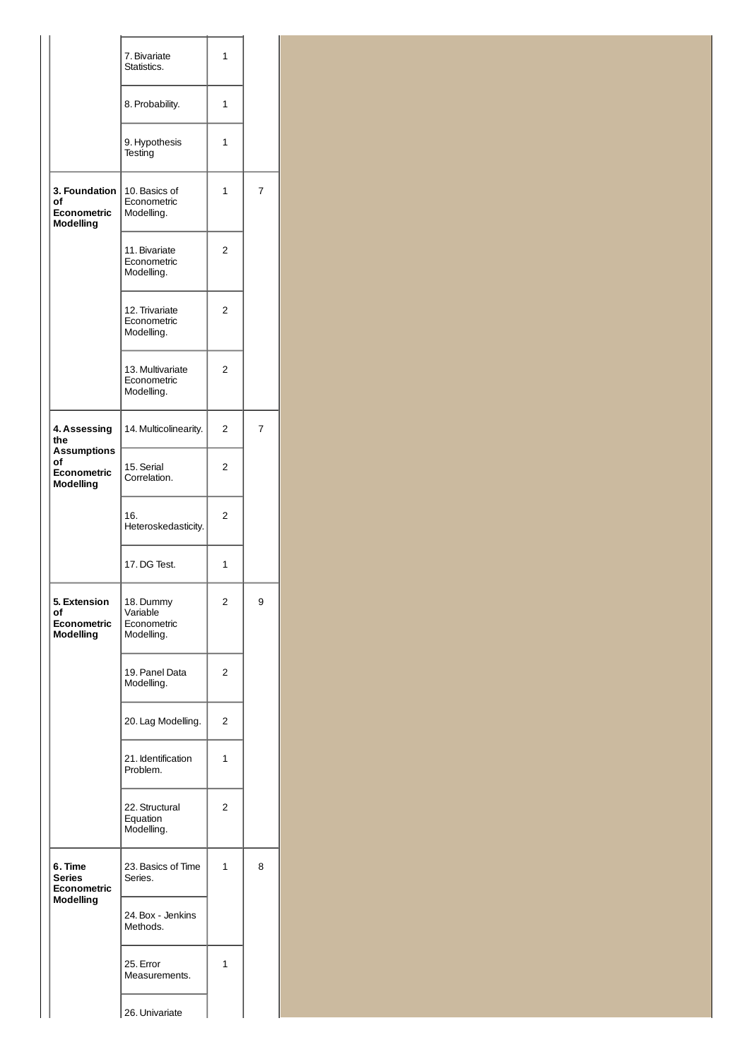|                                                       | 7. Bivariate<br>Statistics.                        | 1 |   |
|-------------------------------------------------------|----------------------------------------------------|---|---|
|                                                       | 8. Probability.                                    | 1 |   |
|                                                       | 9. Hypothesis<br>Testing                           | 1 |   |
| 3. Foundation<br>οf<br>Econometric<br>Modelling       | 10. Basics of<br>Econometric<br>Modelling.         | 1 | 7 |
|                                                       | 11. Bivariate<br>Econometric<br>Modelling.         | 2 |   |
|                                                       | 12. Trivariate<br>Econometric<br>Modelling.        | 2 |   |
|                                                       | 13. Multivariate<br>Econometric<br>Modelling.      | 2 |   |
| 4. Assessing<br>the                                   | 14. Multicolinearity.                              | 2 | 7 |
| <b>Assumptions</b><br>of<br>Econometric<br>Modelling  | 15. Serial<br>Correlation.                         | 2 |   |
|                                                       | 16.<br>Heteroskedasticity.                         | 2 |   |
|                                                       | 17. DG Test.                                       | 1 |   |
| 5. Extension<br>of<br><b>Econometric</b><br>Modelling | 18. Dummy<br>Variable<br>Econometric<br>Modelling. | 2 | 9 |
|                                                       | 19. Panel Data<br>Modelling.                       | 2 |   |
|                                                       | 20. Lag Modelling.                                 | 2 |   |
|                                                       | 21. Identification<br>Problem.                     | 1 |   |
|                                                       | 22. Structural<br>Equation<br>Modelling.           | 2 |   |
| 6. Time<br>Series<br><b>Econometric</b>               | 23. Basics of Time<br>Series.                      | 1 | 8 |
| Modelling                                             | 24. Box - Jenkins<br>Methods.                      |   |   |
|                                                       | 25. Error<br>Measurements.                         | 1 |   |
|                                                       | 26. Univariate                                     |   |   |